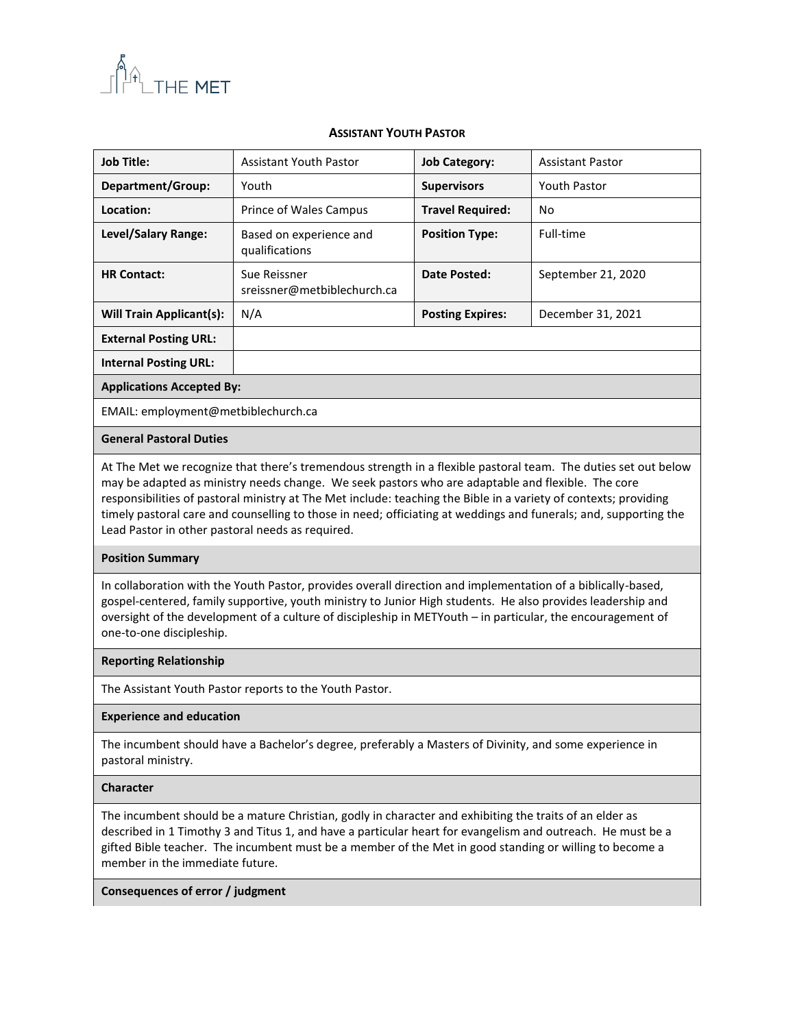

## **ASSISTANT YOUTH PASTOR**

| <b>Job Title:</b>                                                                                                                                                                                                                                                                                                                                                                                                                                                                                               | <b>Assistant Youth Pastor</b>               | <b>Job Category:</b>    | <b>Assistant Pastor</b> |  |
|-----------------------------------------------------------------------------------------------------------------------------------------------------------------------------------------------------------------------------------------------------------------------------------------------------------------------------------------------------------------------------------------------------------------------------------------------------------------------------------------------------------------|---------------------------------------------|-------------------------|-------------------------|--|
| Department/Group:                                                                                                                                                                                                                                                                                                                                                                                                                                                                                               | Youth                                       | <b>Supervisors</b>      | <b>Youth Pastor</b>     |  |
| Location:                                                                                                                                                                                                                                                                                                                                                                                                                                                                                                       | Prince of Wales Campus                      | <b>Travel Required:</b> | N <sub>o</sub>          |  |
| Level/Salary Range:                                                                                                                                                                                                                                                                                                                                                                                                                                                                                             | Based on experience and<br>qualifications   | <b>Position Type:</b>   | Full-time               |  |
| <b>HR Contact:</b>                                                                                                                                                                                                                                                                                                                                                                                                                                                                                              | Sue Reissner<br>sreissner@metbiblechurch.ca | <b>Date Posted:</b>     | September 21, 2020      |  |
| <b>Will Train Applicant(s):</b>                                                                                                                                                                                                                                                                                                                                                                                                                                                                                 | N/A                                         | <b>Posting Expires:</b> | December 31, 2021       |  |
| <b>External Posting URL:</b>                                                                                                                                                                                                                                                                                                                                                                                                                                                                                    |                                             |                         |                         |  |
| <b>Internal Posting URL:</b>                                                                                                                                                                                                                                                                                                                                                                                                                                                                                    |                                             |                         |                         |  |
| <b>Applications Accepted By:</b>                                                                                                                                                                                                                                                                                                                                                                                                                                                                                |                                             |                         |                         |  |
| EMAIL: employment@metbiblechurch.ca                                                                                                                                                                                                                                                                                                                                                                                                                                                                             |                                             |                         |                         |  |
| <b>General Pastoral Duties</b>                                                                                                                                                                                                                                                                                                                                                                                                                                                                                  |                                             |                         |                         |  |
| At The Met we recognize that there's tremendous strength in a flexible pastoral team. The duties set out below<br>may be adapted as ministry needs change. We seek pastors who are adaptable and flexible. The core<br>responsibilities of pastoral ministry at The Met include: teaching the Bible in a variety of contexts; providing<br>timely pastoral care and counselling to those in need; officiating at weddings and funerals; and, supporting the<br>Lead Pastor in other pastoral needs as required. |                                             |                         |                         |  |
| <b>Position Summary</b>                                                                                                                                                                                                                                                                                                                                                                                                                                                                                         |                                             |                         |                         |  |
| In collaboration with the Youth Pastor, provides overall direction and implementation of a biblically-based.                                                                                                                                                                                                                                                                                                                                                                                                    |                                             |                         |                         |  |

In collaboration with the Youth Pastor, provides overall direction and implementation of a biblically-based, gospel-centered, family supportive, youth ministry to Junior High students. He also provides leadership and oversight of the development of a culture of discipleship in METYouth – in particular, the encouragement of one-to-one discipleship.

#### **Reporting Relationship**

The Assistant Youth Pastor reports to the Youth Pastor.

#### **Experience and education**

The incumbent should have a Bachelor's degree, preferably a Masters of Divinity, and some experience in pastoral ministry.

#### **Character**

The incumbent should be a mature Christian, godly in character and exhibiting the traits of an elder as described in 1 Timothy 3 and Titus 1, and have a particular heart for evangelism and outreach. He must be a gifted Bible teacher. The incumbent must be a member of the Met in good standing or willing to become a member in the immediate future.

## **Consequences of error / judgment**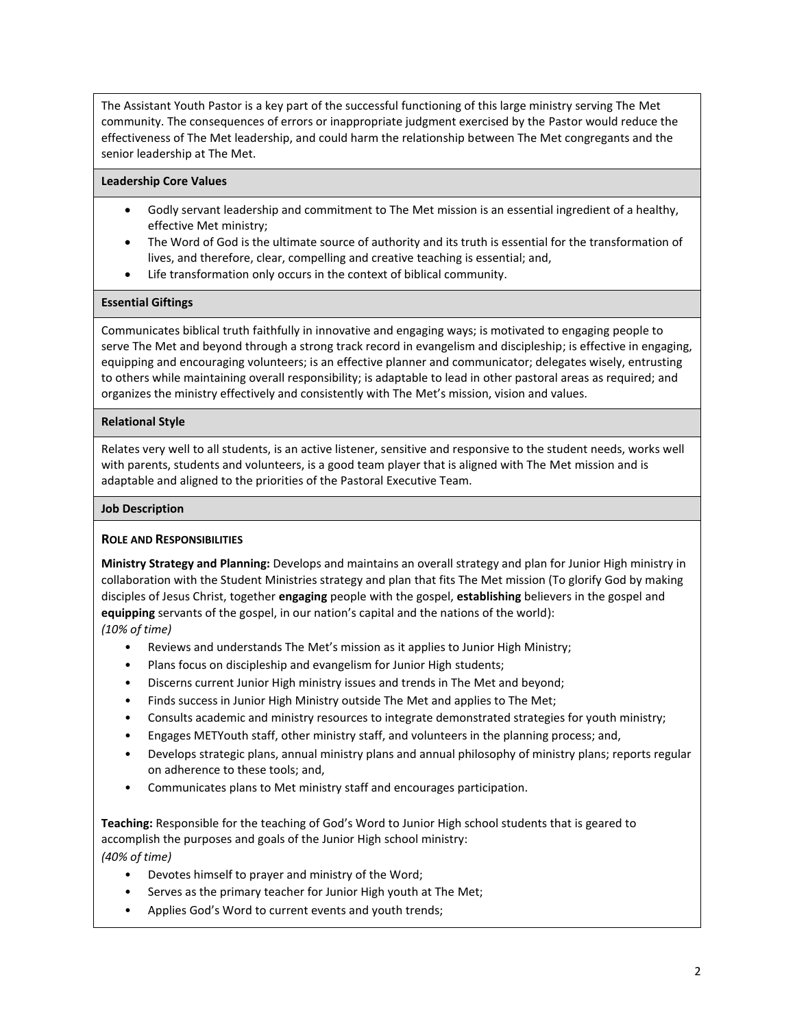The Assistant Youth Pastor is a key part of the successful functioning of this large ministry serving The Met community. The consequences of errors or inappropriate judgment exercised by the Pastor would reduce the effectiveness of The Met leadership, and could harm the relationship between The Met congregants and the senior leadership at The Met.

#### **Leadership Core Values**

- Godly servant leadership and commitment to The Met mission is an essential ingredient of a healthy, effective Met ministry;
- The Word of God is the ultimate source of authority and its truth is essential for the transformation of lives, and therefore, clear, compelling and creative teaching is essential; and,
- Life transformation only occurs in the context of biblical community.

### **Essential Giftings**

Communicates biblical truth faithfully in innovative and engaging ways; is motivated to engaging people to serve The Met and beyond through a strong track record in evangelism and discipleship; is effective in engaging, equipping and encouraging volunteers; is an effective planner and communicator; delegates wisely, entrusting to others while maintaining overall responsibility; is adaptable to lead in other pastoral areas as required; and organizes the ministry effectively and consistently with The Met's mission, vision and values.

### **Relational Style**

Relates very well to all students, is an active listener, sensitive and responsive to the student needs, works well with parents, students and volunteers, is a good team player that is aligned with The Met mission and is adaptable and aligned to the priorities of the Pastoral Executive Team.

#### **Job Description**

# **ROLE AND RESPONSIBILITIES**

**Ministry Strategy and Planning:** Develops and maintains an overall strategy and plan for Junior High ministry in collaboration with the Student Ministries strategy and plan that fits The Met mission (To glorify God by making disciples of Jesus Christ, together **engaging** people with the gospel, **establishing** believers in the gospel and **equipping** servants of the gospel, in our nation's capital and the nations of the world):

*(10% of time)* 

- Reviews and understands The Met's mission as it applies to Junior High Ministry;
- Plans focus on discipleship and evangelism for Junior High students;
- Discerns current Junior High ministry issues and trends in The Met and beyond;
- Finds success in Junior High Ministry outside The Met and applies to The Met;
- Consults academic and ministry resources to integrate demonstrated strategies for youth ministry;
- Engages METYouth staff, other ministry staff, and volunteers in the planning process; and,
- Develops strategic plans, annual ministry plans and annual philosophy of ministry plans; reports regular on adherence to these tools; and,
- Communicates plans to Met ministry staff and encourages participation.

**Teaching:** Responsible for the teaching of God's Word to Junior High school students that is geared to accomplish the purposes and goals of the Junior High school ministry: *(40% of time)*

- Devotes himself to prayer and ministry of the Word;
- Serves as the primary teacher for Junior High youth at The Met;
- Applies God's Word to current events and youth trends;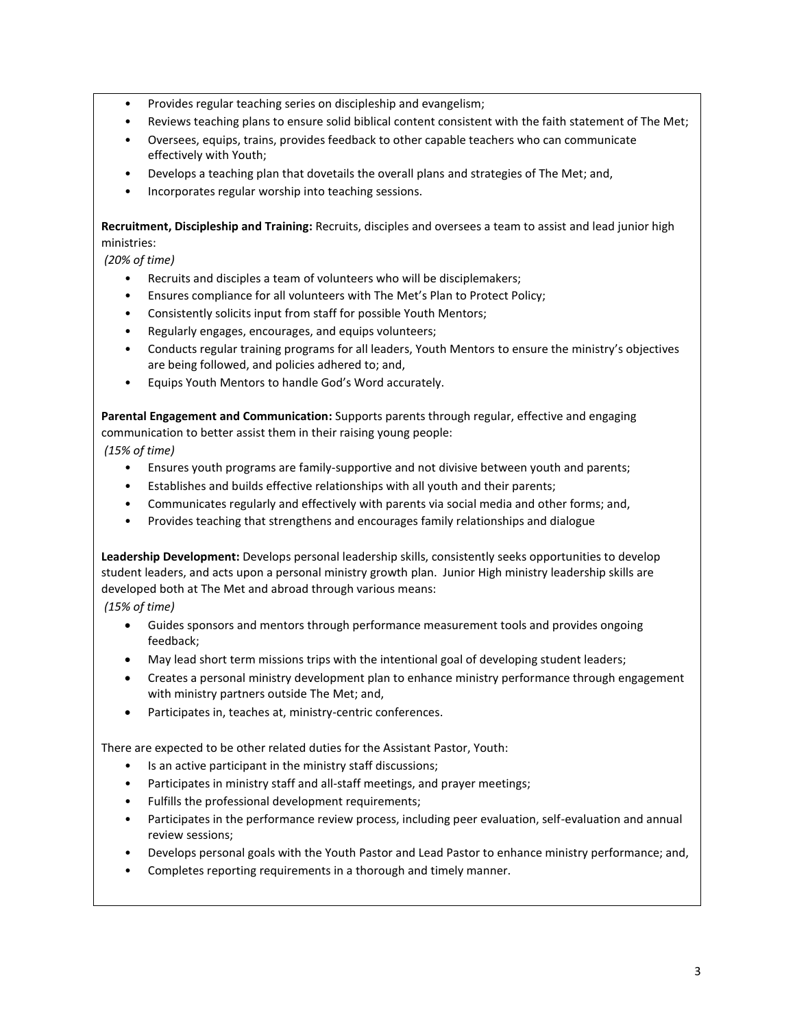- Provides regular teaching series on discipleship and evangelism;
- Reviews teaching plans to ensure solid biblical content consistent with the faith statement of The Met;
- Oversees, equips, trains, provides feedback to other capable teachers who can communicate effectively with Youth;
- Develops a teaching plan that dovetails the overall plans and strategies of The Met; and,
- Incorporates regular worship into teaching sessions.

**Recruitment, Discipleship and Training:** Recruits, disciples and oversees a team to assist and lead junior high ministries:

*(20% of time)*

- Recruits and disciples a team of volunteers who will be disciplemakers;
- Ensures compliance for all volunteers with The Met's Plan to Protect Policy;
- Consistently solicits input from staff for possible Youth Mentors;
- Regularly engages, encourages, and equips volunteers;
- Conducts regular training programs for all leaders, Youth Mentors to ensure the ministry's objectives are being followed, and policies adhered to; and,
- Equips Youth Mentors to handle God's Word accurately.

**Parental Engagement and Communication:** Supports parents through regular, effective and engaging communication to better assist them in their raising young people:

*(15% of time)*

- Ensures youth programs are family-supportive and not divisive between youth and parents;
- Establishes and builds effective relationships with all youth and their parents;
- Communicates regularly and effectively with parents via social media and other forms; and,
- Provides teaching that strengthens and encourages family relationships and dialogue

**Leadership Development:** Develops personal leadership skills, consistently seeks opportunities to develop student leaders, and acts upon a personal ministry growth plan. Junior High ministry leadership skills are developed both at The Met and abroad through various means:

*(15% of time)*

- Guides sponsors and mentors through performance measurement tools and provides ongoing feedback;
- May lead short term missions trips with the intentional goal of developing student leaders;
- Creates a personal ministry development plan to enhance ministry performance through engagement with ministry partners outside The Met; and,
- Participates in, teaches at, ministry-centric conferences.

There are expected to be other related duties for the Assistant Pastor, Youth:

- Is an active participant in the ministry staff discussions;
- Participates in ministry staff and all-staff meetings, and prayer meetings;
- Fulfills the professional development requirements;
- Participates in the performance review process, including peer evaluation, self-evaluation and annual review sessions;
- Develops personal goals with the Youth Pastor and Lead Pastor to enhance ministry performance; and,
- Completes reporting requirements in a thorough and timely manner.